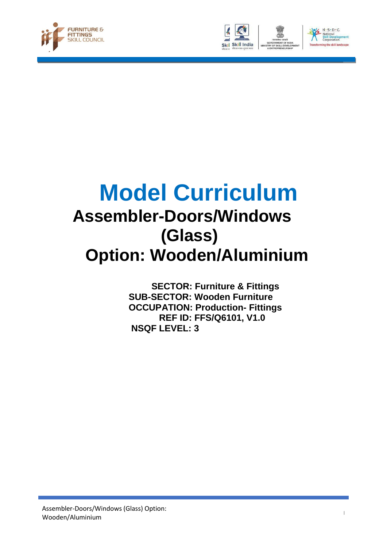





# **Model Curriculum Assembler-Doors/Windows (Glass) Option: Wooden/Aluminium**

 **SECTOR: Furniture & Fittings SUB-SECTOR: Wooden Furniture OCCUPATION: Production- Fittings REF ID: FFS/Q6101, V1.0 NSQF LEVEL: 3**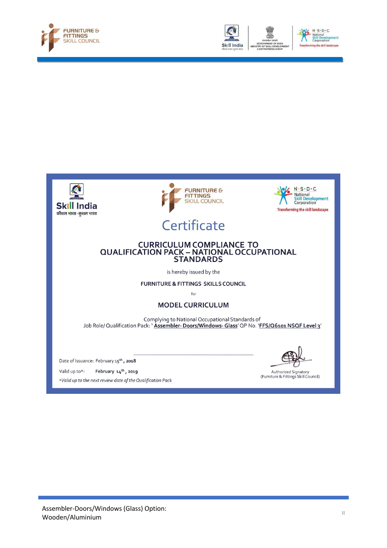











# Certificate

# CURRICULUM COMPLIANCE TO<br>QUALIFICATION PACK – NATIONAL OCCUPATIONAL<br>STANDARDS

is hereby issued by the

FURNITURE & FITTINGS SKILLS COUNCIL

for

#### **MODEL CURRICULUM**

Complying to National Occupational Standards of Job Role/ Qualification Pack: 'Assembler- Doors/Windows- Glass' QP No. 'FFS/Q6101 NSQF Level 3'

Date of Issuance: February 15<sup>th</sup>, 2018

Valid up to\*: February 14<sup>th</sup>, 2019 \*Valid up to the next review date of the Qualification Pack

Authorized Signatory<br>(Furniture & Fittings Skill Council)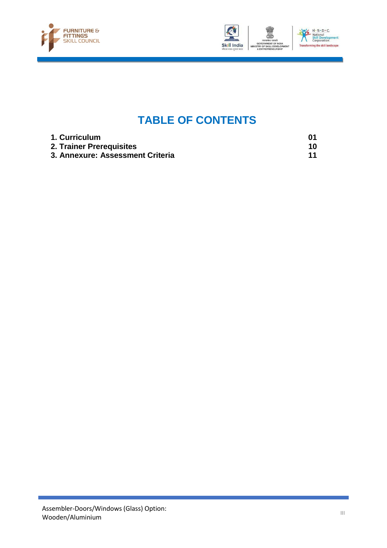



## **TABLE OF CONTENTS**

| 1. Curriculum                    |    |
|----------------------------------|----|
| 2. Trainer Prerequisites         | 10 |
| 3. Annexure: Assessment Criteria | 11 |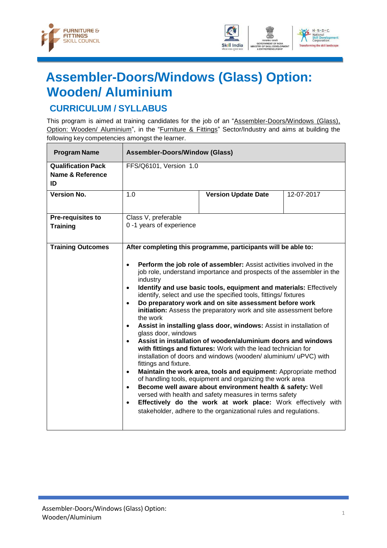



# <span id="page-3-0"></span>**Assembler-Doors/Windows (Glass) Option: Wooden/ Aluminium**

## **CURRICULUM / SYLLABUS**

This program is aimed at training candidates for the job of an "Assembler-Doors/Windows (Glass), Option: Wooden/ Aluminium", in the "Furniture & Fittings" Sector/Industry and aims at building the following key competencies amongst the learner.

| <b>Program Name</b>                                 | <b>Assembler-Doors/Window (Glass)</b>                                                                                                                                        |                                                                                                                                                                                                                                                                                                                                                                                                                                                                                                                                                                                                                                                                                                                                                                                                                                                                                                                                                                                                                                                                                                                                                                  |            |
|-----------------------------------------------------|------------------------------------------------------------------------------------------------------------------------------------------------------------------------------|------------------------------------------------------------------------------------------------------------------------------------------------------------------------------------------------------------------------------------------------------------------------------------------------------------------------------------------------------------------------------------------------------------------------------------------------------------------------------------------------------------------------------------------------------------------------------------------------------------------------------------------------------------------------------------------------------------------------------------------------------------------------------------------------------------------------------------------------------------------------------------------------------------------------------------------------------------------------------------------------------------------------------------------------------------------------------------------------------------------------------------------------------------------|------------|
| <b>Qualification Pack</b><br>Name & Reference<br>ID | FFS/Q6101, Version 1.0                                                                                                                                                       |                                                                                                                                                                                                                                                                                                                                                                                                                                                                                                                                                                                                                                                                                                                                                                                                                                                                                                                                                                                                                                                                                                                                                                  |            |
| <b>Version No.</b>                                  | 1.0                                                                                                                                                                          | <b>Version Update Date</b>                                                                                                                                                                                                                                                                                                                                                                                                                                                                                                                                                                                                                                                                                                                                                                                                                                                                                                                                                                                                                                                                                                                                       | 12-07-2017 |
| <b>Pre-requisites to</b>                            | Class V, preferable                                                                                                                                                          |                                                                                                                                                                                                                                                                                                                                                                                                                                                                                                                                                                                                                                                                                                                                                                                                                                                                                                                                                                                                                                                                                                                                                                  |            |
| <b>Training</b>                                     | 0 -1 years of experience                                                                                                                                                     |                                                                                                                                                                                                                                                                                                                                                                                                                                                                                                                                                                                                                                                                                                                                                                                                                                                                                                                                                                                                                                                                                                                                                                  |            |
| <b>Training Outcomes</b>                            | $\bullet$<br>industry<br>$\bullet$<br>$\bullet$<br>the work<br>$\bullet$<br>glass door, windows<br>$\bullet$<br>fittings and fixture.<br>$\bullet$<br>$\bullet$<br>$\bullet$ | After completing this programme, participants will be able to:<br>Perform the job role of assembler: Assist activities involved in the<br>job role, understand importance and prospects of the assembler in the<br>Identify and use basic tools, equipment and materials: Effectively<br>identify, select and use the specified tools, fittings/ fixtures<br>Do preparatory work and on site assessment before work<br>initiation: Assess the preparatory work and site assessment before<br>Assist in installing glass door, windows: Assist in installation of<br>Assist in installation of wooden/aluminium doors and windows<br>with fittings and fixtures: Work with the lead technician for<br>installation of doors and windows (wooden/ aluminium/ uPVC) with<br>Maintain the work area, tools and equipment: Appropriate method<br>of handling tools, equipment and organizing the work area<br>Become well aware about environment health & safety: Well<br>versed with health and safety measures in terms safety<br>Effectively do the work at work place: Work effectively with<br>stakeholder, adhere to the organizational rules and regulations. |            |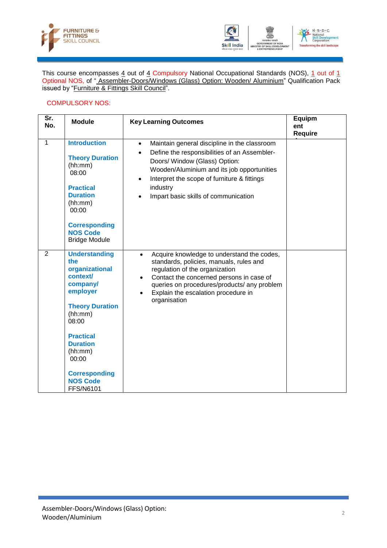



This course encompasses 4 out of 4 Compulsory National Occupational Standards (NOS), 1 out of 1 Optional NOS, of " Assembler-Doors/Windows (Glass) Option: Wooden/ Aluminium" Qualification Pack issued by "Furniture & Fittings Skill Council".

#### COMPULSORY NOS:

| Sr.<br>No.     | <b>Module</b>                                                                                                                                                                                                                                             | <b>Key Learning Outcomes</b>                                                                                                                                                                                                                                                                                     | Equipm<br>ent<br><b>Require</b> |
|----------------|-----------------------------------------------------------------------------------------------------------------------------------------------------------------------------------------------------------------------------------------------------------|------------------------------------------------------------------------------------------------------------------------------------------------------------------------------------------------------------------------------------------------------------------------------------------------------------------|---------------------------------|
| 1              | <b>Introduction</b><br><b>Theory Duration</b><br>(hh:mm)<br>08:00<br><b>Practical</b><br><b>Duration</b><br>(hh:mm)<br>00:00<br><b>Corresponding</b><br><b>NOS Code</b><br><b>Bridge Module</b>                                                           | Maintain general discipline in the classroom<br>Define the responsibilities of an Assembler-<br>$\bullet$<br>Doors/ Window (Glass) Option:<br>Wooden/Aluminium and its job opportunities<br>Interpret the scope of furniture & fittings<br>$\bullet$<br>industry<br>Impart basic skills of communication         |                                 |
| $\overline{2}$ | <b>Understanding</b><br>the<br>organizational<br>context/<br>company/<br>employer<br><b>Theory Duration</b><br>(hh:mm)<br>08:00<br><b>Practical</b><br><b>Duration</b><br>(hh:mm)<br>00:00<br><b>Corresponding</b><br><b>NOS Code</b><br><b>FFS/N6101</b> | Acquire knowledge to understand the codes,<br>$\bullet$<br>standards, policies, manuals, rules and<br>regulation of the organization<br>Contact the concerned persons in case of<br>$\bullet$<br>queries on procedures/products/ any problem<br>Explain the escalation procedure in<br>$\bullet$<br>organisation |                                 |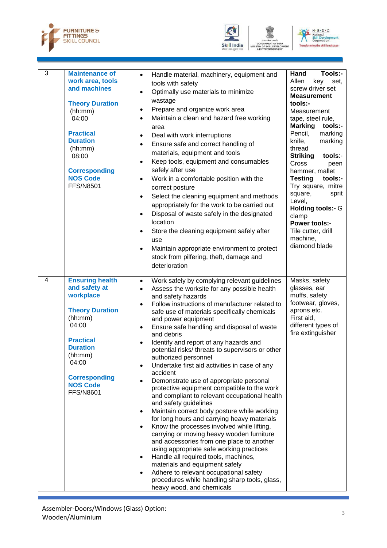





| 3 | <b>Maintenance of</b><br>work area, tools<br>and machines<br><b>Theory Duration</b><br>(hh:mm)<br>04:00<br><b>Practical</b><br><b>Duration</b><br>(hh:mm)<br>08:00<br><b>Corresponding</b><br><b>NOS Code</b><br><b>FFS/N8501</b> | Handle material, machinery, equipment and<br>$\bullet$<br>tools with safety<br>Optimally use materials to minimize<br>$\bullet$<br>wastage<br>Prepare and organize work area<br>$\bullet$<br>Maintain a clean and hazard free working<br>$\bullet$<br>area<br>Deal with work interruptions<br>$\bullet$<br>Ensure safe and correct handling of<br>$\bullet$<br>materials, equipment and tools<br>Keep tools, equipment and consumables<br>$\bullet$<br>safely after use<br>Work in a comfortable position with the<br>$\bullet$<br>correct posture<br>Select the cleaning equipment and methods<br>$\bullet$<br>appropriately for the work to be carried out<br>Disposal of waste safely in the designated<br>$\bullet$<br>location<br>Store the cleaning equipment safely after<br>$\bullet$<br>use<br>Maintain appropriate environment to protect<br>$\bullet$<br>stock from pilfering, theft, damage and<br>deterioration                                                                                                                                                                                                                                                                                                                              | Tools:-<br>Hand<br>Allen<br>key<br>set,<br>screw driver set<br><b>Measurement</b><br>tools:-<br>Measurement<br>tape, steel rule,<br><b>Marking</b><br>tools:-<br>Pencil,<br>marking<br>knife,<br>marking<br>thread<br><b>Striking</b><br>tools:-<br>Cross<br>peen<br>hammer, mallet<br><b>Testing</b><br>tools:-<br>Try square, mitre<br>square,<br>sprit<br>Level,<br><b>Holding tools:- G</b><br>clamp<br><b>Power tools:-</b><br>Tile cutter, drill<br>machine,<br>diamond blade |
|---|-----------------------------------------------------------------------------------------------------------------------------------------------------------------------------------------------------------------------------------|-----------------------------------------------------------------------------------------------------------------------------------------------------------------------------------------------------------------------------------------------------------------------------------------------------------------------------------------------------------------------------------------------------------------------------------------------------------------------------------------------------------------------------------------------------------------------------------------------------------------------------------------------------------------------------------------------------------------------------------------------------------------------------------------------------------------------------------------------------------------------------------------------------------------------------------------------------------------------------------------------------------------------------------------------------------------------------------------------------------------------------------------------------------------------------------------------------------------------------------------------------------|-------------------------------------------------------------------------------------------------------------------------------------------------------------------------------------------------------------------------------------------------------------------------------------------------------------------------------------------------------------------------------------------------------------------------------------------------------------------------------------|
| 4 | <b>Ensuring health</b><br>and safety at<br>workplace<br><b>Theory Duration</b><br>(hh:mm)<br>04:00<br><b>Practical</b><br><b>Duration</b><br>(hh:mm)<br>04:00<br><b>Corresponding</b><br><b>NOS Code</b><br><b>FFS/N8601</b>      | Work safely by complying relevant guidelines<br>$\bullet$<br>Assess the worksite for any possible health<br>$\bullet$<br>and safety hazards<br>Follow instructions of manufacturer related to<br>$\bullet$<br>safe use of materials specifically chemicals<br>and power equipment<br>Ensure safe handling and disposal of waste<br>$\bullet$<br>and debris<br>Identify and report of any hazards and<br>$\bullet$<br>potential risks/ threats to supervisors or other<br>authorized personnel<br>Undertake first aid activities in case of any<br>accident<br>Demonstrate use of appropriate personal<br>protective equipment compatible to the work<br>and compliant to relevant occupational health<br>and safety guidelines<br>Maintain correct body posture while working<br>$\bullet$<br>for long hours and carrying heavy materials<br>Know the processes involved while lifting,<br>carrying or moving heavy wooden furniture<br>and accessories from one place to another<br>using appropriate safe working practices<br>Handle all required tools, machines,<br>$\bullet$<br>materials and equipment safely<br>Adhere to relevant occupational safety<br>$\bullet$<br>procedures while handling sharp tools, glass,<br>heavy wood, and chemicals | Masks, safety<br>glasses, ear<br>muffs, safety<br>footwear, gloves,<br>aprons etc.<br>First aid,<br>different types of<br>fire extinguisher                                                                                                                                                                                                                                                                                                                                         |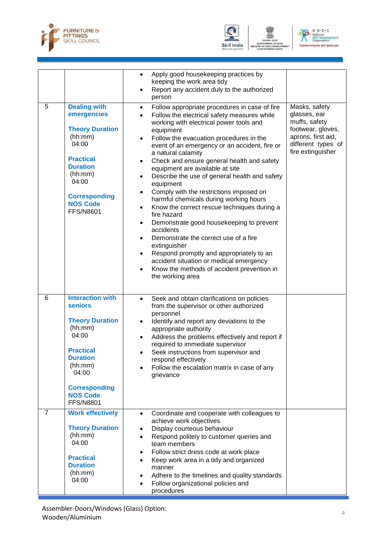





|                |                                                                                                                                                                                                            | Apply good housekeeping practices by<br>$\bullet$<br>keeping the work area tidy<br>Report any accident duly to the authorized<br>$\bullet$<br>person                                                                                                                                                                                                                                                                                                                                                                                                                                                                                                                                                                                                                                                                                                                                                                                                                                  |                                                                                                                                      |
|----------------|------------------------------------------------------------------------------------------------------------------------------------------------------------------------------------------------------------|---------------------------------------------------------------------------------------------------------------------------------------------------------------------------------------------------------------------------------------------------------------------------------------------------------------------------------------------------------------------------------------------------------------------------------------------------------------------------------------------------------------------------------------------------------------------------------------------------------------------------------------------------------------------------------------------------------------------------------------------------------------------------------------------------------------------------------------------------------------------------------------------------------------------------------------------------------------------------------------|--------------------------------------------------------------------------------------------------------------------------------------|
| 5              | <b>Dealing with</b><br>emergencies<br><b>Theory Duration</b><br>(hh:mm)<br>04:00<br><b>Practical</b><br><b>Duration</b><br>(hh:mm)<br>04:00<br><b>Corresponding</b><br><b>NOS Code</b><br><b>FFS/N8601</b> | Follow appropriate procedures in case of fire<br>$\bullet$<br>Follow the electrical safety measures while<br>$\bullet$<br>working with electrical power tools and<br>equipment<br>Follow the evacuation procedures in the<br>$\bullet$<br>event of an emergency or an accident, fire or<br>a natural calamity<br>Check and ensure general health and safety<br>$\bullet$<br>equipment are available at site<br>Describe the use of general health and safety<br>$\bullet$<br>equipment<br>Comply with the restrictions imposed on<br>harmful chemicals during working hours<br>Know the correct rescue techniques during a<br>$\bullet$<br>fire hazard<br>Demonstrate good housekeeping to prevent<br>$\bullet$<br>accidents<br>Demonstrate the correct use of a fire<br>$\bullet$<br>extinguisher<br>Respond promptly and appropriately to an<br>$\bullet$<br>accident situation or medical emergency<br>Know the methods of accident prevention in<br>$\bullet$<br>the working area | Masks, safety<br>glasses, ear<br>muffs, safety<br>footwear, gloves,<br>aprons, first aid,<br>different types of<br>fire extinguisher |
| 6              | <b>Interaction with</b><br>seniors<br><b>Theory Duration</b><br>(hh:mm)<br>04:00<br><b>Practical</b><br><b>Duration</b><br>(hh:mm)<br>04:00<br><b>Corresponding</b><br><b>NOS Code</b><br><b>FFS/N8801</b> | Seek and obtain clarifications on policies<br>$\bullet$<br>from the supervisor or other authorized<br>personnel<br>Identify and report any deviations to the<br>$\bullet$<br>appropriate authority<br>Address the problems effectively and report if<br>٠<br>required to immediate supervisor<br>Seek instructions from supervisor and<br>respond effectively<br>Follow the escalation matrix in case of any<br>grievance                                                                                                                                                                                                                                                                                                                                                                                                                                                                                                                                                             |                                                                                                                                      |
| $\overline{7}$ | <b>Work effectively</b><br><b>Theory Duration</b><br>(hh:mm)<br>04:00<br><b>Practical</b><br><b>Duration</b><br>(hh:mm)<br>04:00                                                                           | Coordinate and cooperate with colleagues to<br>$\bullet$<br>achieve work objectives<br>Display courteous behaviour<br>$\bullet$<br>Respond politely to customer queries and<br>$\bullet$<br>team members<br>Follow strict dress code at work place<br>٠<br>Keep work area in a tidy and organized<br>$\bullet$<br>manner<br>Adhere to the timelines and quality standards<br>$\bullet$<br>Follow organizational policies and<br>$\bullet$<br>procedures                                                                                                                                                                                                                                                                                                                                                                                                                                                                                                                               |                                                                                                                                      |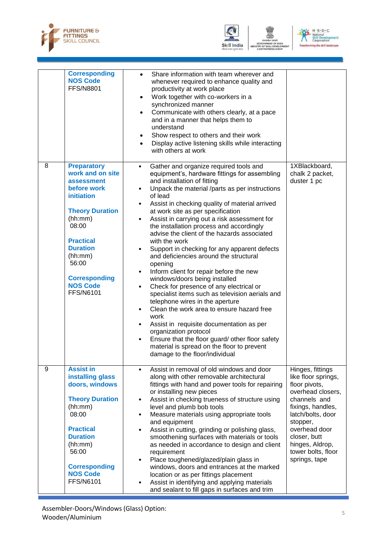





|   | <b>Corresponding</b><br><b>NOS Code</b><br><b>FFS/N8801</b>                                                                                                                                                                                               | Share information with team wherever and<br>whenever required to enhance quality and<br>productivity at work place<br>Work together with co-workers in a<br>$\bullet$<br>synchronized manner<br>Communicate with others clearly, at a pace<br>$\bullet$<br>and in a manner that helps them to<br>understand<br>Show respect to others and their work<br>Display active listening skills while interacting<br>$\bullet$<br>with others at work                                                                                                                                                                                                                                                                                                                                                                                                                                                                                                                                                                                                                                          |                                                                                                                                                                                                                                                |
|---|-----------------------------------------------------------------------------------------------------------------------------------------------------------------------------------------------------------------------------------------------------------|----------------------------------------------------------------------------------------------------------------------------------------------------------------------------------------------------------------------------------------------------------------------------------------------------------------------------------------------------------------------------------------------------------------------------------------------------------------------------------------------------------------------------------------------------------------------------------------------------------------------------------------------------------------------------------------------------------------------------------------------------------------------------------------------------------------------------------------------------------------------------------------------------------------------------------------------------------------------------------------------------------------------------------------------------------------------------------------|------------------------------------------------------------------------------------------------------------------------------------------------------------------------------------------------------------------------------------------------|
| 8 | <b>Preparatory</b><br>work and on site<br>assessment<br>before work<br>initiation<br><b>Theory Duration</b><br>(hh:mm)<br>08:00<br><b>Practical</b><br><b>Duration</b><br>(hh:mm)<br>56:00<br><b>Corresponding</b><br><b>NOS Code</b><br><b>FFS/N6101</b> | Gather and organize required tools and<br>$\bullet$<br>equipment's, hardware fittings for assembling<br>and installation of fitting<br>Unpack the material /parts as per instructions<br>$\bullet$<br>of lead<br>Assist in checking quality of material arrived<br>at work site as per specification<br>Assist in carrying out a risk assessment for<br>the installation process and accordingly<br>advise the client of the hazards associated<br>with the work<br>Support in checking for any apparent defects<br>and deficiencies around the structural<br>opening<br>Inform client for repair before the new<br>$\bullet$<br>windows/doors being installed<br>Check for presence of any electrical or<br>$\bullet$<br>specialist items such as television aerials and<br>telephone wires in the aperture<br>Clean the work area to ensure hazard free<br>work<br>Assist in requisite documentation as per<br>organization protocol<br>Ensure that the floor guard/ other floor safety<br>$\bullet$<br>material is spread on the floor to prevent<br>damage to the floor/individual | 1XBlackboard,<br>chalk 2 packet,<br>duster 1 pc                                                                                                                                                                                                |
| 9 | <b>Assist in</b><br>installing glass<br>doors, windows<br><b>Theory Duration</b><br>(hh:mm)<br>08:00<br><b>Practical</b><br><b>Duration</b><br>(hh:mm)<br>56:00<br><b>Corresponding</b><br><b>NOS Code</b><br><b>FFS/N6101</b>                            | Assist in removal of old windows and door<br>$\bullet$<br>along with other removable architectural<br>fittings with hand and power tools for repairing<br>or installing new pieces<br>Assist in checking trueness of structure using<br>$\bullet$<br>level and plumb bob tools<br>Measure materials using appropriate tools<br>$\bullet$<br>and equipment<br>Assist in cutting, grinding or polishing glass,<br>$\bullet$<br>smoothening surfaces with materials or tools<br>as needed in accordance to design and client<br>requirement<br>Place toughened/glazed/plain glass in<br>$\bullet$<br>windows, doors and entrances at the marked<br>location or as per fittings placement<br>Assist in identifying and applying materials<br>and sealant to fill gaps in surfaces and trim                                                                                                                                                                                                                                                                                                 | Hinges, fittings<br>like floor springs,<br>floor pivots,<br>overhead closers,<br>channels and<br>fixings, handles,<br>latch/bolts, door<br>stopper,<br>overhead door<br>closer, butt<br>hinges, Aldrop,<br>tower bolts, floor<br>springs, tape |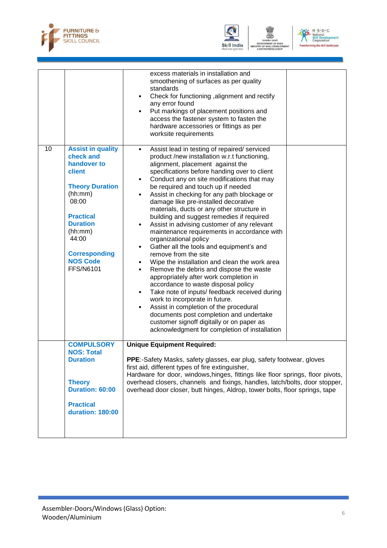





|    |                                                                                                                                                                                                                                        | excess materials in installation and<br>smoothening of surfaces as per quality<br>standards<br>Check for functioning , alignment and rectify<br>$\bullet$<br>any error found<br>Put markings of placement positions and<br>$\bullet$<br>access the fastener system to fasten the<br>hardware accessories or fittings as per<br>worksite requirements                                                                                                                                                                                                                                                                                                                                                                                                                                                                                                                                                                                                                                                                                                                                                                                                                               |
|----|----------------------------------------------------------------------------------------------------------------------------------------------------------------------------------------------------------------------------------------|------------------------------------------------------------------------------------------------------------------------------------------------------------------------------------------------------------------------------------------------------------------------------------------------------------------------------------------------------------------------------------------------------------------------------------------------------------------------------------------------------------------------------------------------------------------------------------------------------------------------------------------------------------------------------------------------------------------------------------------------------------------------------------------------------------------------------------------------------------------------------------------------------------------------------------------------------------------------------------------------------------------------------------------------------------------------------------------------------------------------------------------------------------------------------------|
| 10 | <b>Assist in quality</b><br>check and<br>handover to<br>client<br><b>Theory Duration</b><br>(hh:mm)<br>08:00<br><b>Practical</b><br><b>Duration</b><br>(hh:mm)<br>44:00<br><b>Corresponding</b><br><b>NOS Code</b><br><b>FFS/N6101</b> | Assist lead in testing of repaired/ serviced<br>$\bullet$<br>product /new installation w.r.t functioning,<br>alignment, placement against the<br>specifications before handing over to client<br>Conduct any on site modifications that may<br>be required and touch up if needed<br>Assist in checking for any path blockage or<br>$\bullet$<br>damage like pre-installed decorative<br>materials, ducts or any other structure in<br>building and suggest remedies if required<br>Assist in advising customer of any relevant<br>$\bullet$<br>maintenance requirements in accordance with<br>organizational policy<br>Gather all the tools and equipment's and<br>$\bullet$<br>remove from the site<br>Wipe the installation and clean the work area<br>Remove the debris and dispose the waste<br>$\bullet$<br>appropriately after work completion in<br>accordance to waste disposal policy<br>Take note of inputs/ feedback received during<br>$\bullet$<br>work to incorporate in future.<br>Assist in completion of the procedural<br>documents post completion and undertake<br>customer signoff digitally or on paper as<br>acknowledgment for completion of installation |
|    | <b>COMPULSORY</b><br><b>NOS: Total</b><br><b>Duration</b><br><b>Theory</b><br>Duration: 60:00<br><b>Practical</b><br><b>duration: 180:00</b>                                                                                           | <b>Unique Equipment Required:</b><br>PPE:-Safety Masks, safety glasses, ear plug, safety footwear, gloves<br>first aid, different types of fire extinguisher,<br>Hardware for door, windows, hinges, fittings like floor springs, floor pivots,<br>overhead closers, channels and fixings, handles, latch/bolts, door stopper,<br>overhead door closer, butt hinges, Aldrop, tower bolts, floor springs, tape                                                                                                                                                                                                                                                                                                                                                                                                                                                                                                                                                                                                                                                                                                                                                                      |
|    |                                                                                                                                                                                                                                        |                                                                                                                                                                                                                                                                                                                                                                                                                                                                                                                                                                                                                                                                                                                                                                                                                                                                                                                                                                                                                                                                                                                                                                                    |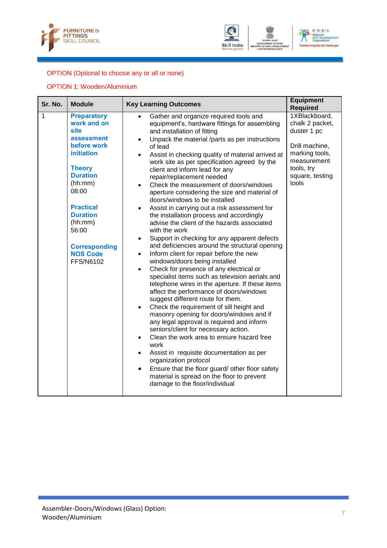





### OPTION (Optional to choose any or all or none)

#### OPTION 1: Wooden/Aluminium

| Sr. No. | <b>Module</b>                                                                                                                                                                                                                                                                        | <b>Key Learning Outcomes</b>                                                                                                                                                                                                                                                                                                                                                                                                                                                                                                                                                                                                                                                                                                                                                                                                                                                                                                                                                                                                                                                                                                                                                                                                                                                                                                                                                                                                                                                                                                                                                                                                                            | <b>Equipment</b><br><b>Required</b>                                                                                                          |
|---------|--------------------------------------------------------------------------------------------------------------------------------------------------------------------------------------------------------------------------------------------------------------------------------------|---------------------------------------------------------------------------------------------------------------------------------------------------------------------------------------------------------------------------------------------------------------------------------------------------------------------------------------------------------------------------------------------------------------------------------------------------------------------------------------------------------------------------------------------------------------------------------------------------------------------------------------------------------------------------------------------------------------------------------------------------------------------------------------------------------------------------------------------------------------------------------------------------------------------------------------------------------------------------------------------------------------------------------------------------------------------------------------------------------------------------------------------------------------------------------------------------------------------------------------------------------------------------------------------------------------------------------------------------------------------------------------------------------------------------------------------------------------------------------------------------------------------------------------------------------------------------------------------------------------------------------------------------------|----------------------------------------------------------------------------------------------------------------------------------------------|
| 1       | <b>Preparatory</b><br>work and on<br><b>site</b><br>assessment<br>before work<br><b>initiation</b><br><b>Theory</b><br><b>Duration</b><br>(hh:mm)<br>08:00<br><b>Practical</b><br><b>Duration</b><br>(hh:mm)<br>56:00<br><b>Corresponding</b><br><b>NOS Code</b><br><b>FFS/N6102</b> | Gather and organize required tools and<br>equipment's, hardware fittings for assembling<br>and installation of fitting<br>Unpack the material /parts as per instructions<br>$\bullet$<br>of lead<br>Assist in checking quality of material arrived at<br>$\bullet$<br>work site as per specification agreed by the<br>client and inform lead for any<br>repair/replacement needed<br>Check the measurement of doors/windows<br>$\bullet$<br>aperture considering the size and material of<br>doors/windows to be installed<br>Assist in carrying out a risk assessment for<br>$\bullet$<br>the installation process and accordingly<br>advise the client of the hazards associated<br>with the work<br>Support in checking for any apparent defects<br>$\bullet$<br>and deficiencies around the structural opening<br>Inform client for repair before the new<br>$\bullet$<br>windows/doors being installed<br>Check for presence of any electrical or<br>$\bullet$<br>specialist items such as television aerials and<br>telephone wires in the aperture. If these items<br>affect the performance of doors/windows<br>suggest different route for them.<br>Check the requirement of sill height and<br>$\bullet$<br>masonry opening for doors/windows and if<br>any legal approval is required and inform<br>seniors/client for necessary action.<br>Clean the work area to ensure hazard free<br>$\bullet$<br>work<br>Assist in requisite documentation as per<br>$\bullet$<br>organization protocol<br>Ensure that the floor guard/ other floor safety<br>$\bullet$<br>material is spread on the floor to prevent<br>damage to the floor/individual | 1XBlackboard,<br>chalk 2 packet,<br>duster 1 pc<br>Drill machine,<br>marking tools,<br>measurement<br>tools, try<br>square, testing<br>tools |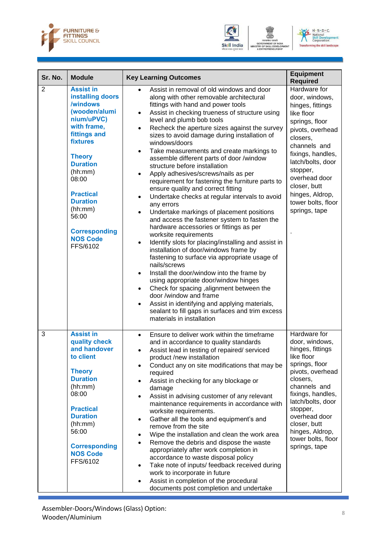



**DF SKILL D** 



| Sr. No.        | <b>Module</b>                                                                                                                                                                                                                                                                                               | <b>Key Learning Outcomes</b>                                                                                                                                                                                                                                                                                                                                                                                                                                                                                                                                                                                                                                                                                                                                                                                                                                                                                                                                                                                                                                                                                                                                                                                                                                                                                                                                                     | <b>Equipment</b><br><b>Required</b>                                                                                                                                                                                                                                                 |
|----------------|-------------------------------------------------------------------------------------------------------------------------------------------------------------------------------------------------------------------------------------------------------------------------------------------------------------|----------------------------------------------------------------------------------------------------------------------------------------------------------------------------------------------------------------------------------------------------------------------------------------------------------------------------------------------------------------------------------------------------------------------------------------------------------------------------------------------------------------------------------------------------------------------------------------------------------------------------------------------------------------------------------------------------------------------------------------------------------------------------------------------------------------------------------------------------------------------------------------------------------------------------------------------------------------------------------------------------------------------------------------------------------------------------------------------------------------------------------------------------------------------------------------------------------------------------------------------------------------------------------------------------------------------------------------------------------------------------------|-------------------------------------------------------------------------------------------------------------------------------------------------------------------------------------------------------------------------------------------------------------------------------------|
| $\overline{2}$ | <b>Assist in</b><br>installing doors<br>/windows<br>(wooden/alumi<br>nium/uPVC)<br>with frame,<br>fittings and<br><b>fixtures</b><br><b>Theory</b><br><b>Duration</b><br>(hh:mm)<br>08:00<br><b>Practical</b><br><b>Duration</b><br>(hh:mm)<br>56:00<br><b>Corresponding</b><br><b>NOS Code</b><br>FFS/6102 | Assist in removal of old windows and door<br>along with other removable architectural<br>fittings with hand and power tools<br>Assist in checking trueness of structure using<br>$\bullet$<br>level and plumb bob tools<br>Recheck the aperture sizes against the survey<br>$\bullet$<br>sizes to avoid damage during installation of<br>windows/doors<br>Take measurements and create markings to<br>assemble different parts of door /window<br>structure before installation<br>Apply adhesives/screws/nails as per<br>requirement for fastening the furniture parts to<br>ensure quality and correct fitting<br>Undertake checks at regular intervals to avoid<br>any errors<br>Undertake markings of placement positions<br>$\bullet$<br>and access the fastener system to fasten the<br>hardware accessories or fittings as per<br>worksite requirements<br>Identify slots for placing/installing and assist in<br>$\bullet$<br>installation of door/windows frame by<br>fastening to surface via appropriate usage of<br>nails/screws<br>Install the door/window into the frame by<br>$\bullet$<br>using appropriate door/window hinges<br>Check for spacing, alignment between the<br>$\bullet$<br>door /window and frame<br>Assist in identifying and applying materials,<br>$\bullet$<br>sealant to fill gaps in surfaces and trim excess<br>materials in installation | Hardware for<br>door, windows,<br>hinges, fittings<br>like floor<br>springs, floor<br>pivots, overhead<br>closers,<br>channels and<br>fixings, handles,<br>latch/bolts, door<br>stopper,<br>overhead door<br>closer, butt<br>hinges, Aldrop,<br>tower bolts, floor<br>springs, tape |
| 3              | <b>Assist in</b><br>quality check<br>and handover<br>to client<br><b>Theory</b><br><b>Duration</b><br>(hh:mm)<br>08:00<br><b>Practical</b><br><b>Duration</b><br>(hh:mm)<br>56:00<br><b>Corresponding</b><br><b>NOS Code</b><br>FFS/6102                                                                    | Ensure to deliver work within the timeframe<br>$\bullet$<br>and in accordance to quality standards<br>Assist lead in testing of repaired/ serviced<br>product /new installation<br>Conduct any on site modifications that may be<br>$\bullet$<br>required<br>Assist in checking for any blockage or<br>damage<br>Assist in advising customer of any relevant<br>$\bullet$<br>maintenance requirements in accordance with<br>worksite requirements.<br>Gather all the tools and equipment's and<br>$\bullet$<br>remove from the site<br>Wipe the installation and clean the work area<br>٠<br>Remove the debris and dispose the waste<br>$\bullet$<br>appropriately after work completion in<br>accordance to waste disposal policy<br>Take note of inputs/ feedback received during<br>$\bullet$<br>work to incorporate in future<br>Assist in completion of the procedural<br>$\bullet$<br>documents post completion and undertake                                                                                                                                                                                                                                                                                                                                                                                                                                              | Hardware for<br>door, windows,<br>hinges, fittings<br>like floor<br>springs, floor<br>pivots, overhead<br>closers.<br>channels and<br>fixings, handles,<br>latch/bolts, door<br>stopper,<br>overhead door<br>closer, butt<br>hinges, Aldrop,<br>tower bolts, floor<br>springs, tape |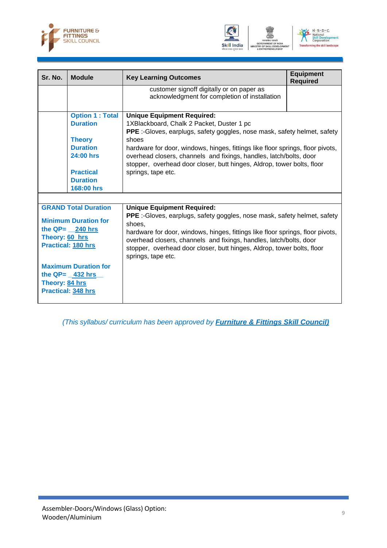





| Sr. No.        | <b>Module</b>                                                                                                 | <b>Key Learning Outcomes</b>                                                                                                                                                                                                                                                                                                                                                           | <b>Equipment</b><br><b>Required</b> |
|----------------|---------------------------------------------------------------------------------------------------------------|----------------------------------------------------------------------------------------------------------------------------------------------------------------------------------------------------------------------------------------------------------------------------------------------------------------------------------------------------------------------------------------|-------------------------------------|
|                |                                                                                                               | customer signoff digitally or on paper as<br>acknowledgment for completion of installation                                                                                                                                                                                                                                                                                             |                                     |
|                | <b>Option 1: Total</b><br><b>Duration</b>                                                                     | <b>Unique Equipment Required:</b><br>1XBlackboard, Chalk 2 Packet, Duster 1 pc<br><b>PPE</b> :-Gloves, earplugs, safety goggles, nose mask, safety helmet, safety                                                                                                                                                                                                                      |                                     |
|                | <b>Theory</b><br><b>Duration</b><br>24:00 hrs                                                                 | shoes<br>hardware for door, windows, hinges, fittings like floor springs, floor pivots,<br>overhead closers, channels and fixings, handles, latch/bolts, door<br>stopper, overhead door closer, butt hinges, Aldrop, tower bolts, floor                                                                                                                                                |                                     |
|                | <b>Practical</b><br><b>Duration</b><br>168:00 hrs                                                             | springs, tape etc.                                                                                                                                                                                                                                                                                                                                                                     |                                     |
|                |                                                                                                               |                                                                                                                                                                                                                                                                                                                                                                                        |                                     |
| Theory: 60 hrs | <b>GRAND Total Duration</b><br><b>Minimum Duration for</b><br>the $QP = 240$ hrs<br><b>Practical: 180 hrs</b> | <b>Unique Equipment Required:</b><br><b>PPE</b> :-Gloves, earplugs, safety goggles, nose mask, safety helmet, safety<br>shoes,<br>hardware for door, windows, hinges, fittings like floor springs, floor pivots,<br>overhead closers, channels and fixings, handles, latch/bolts, door<br>stopper, overhead door closer, butt hinges, Aldrop, tower bolts, floor<br>springs, tape etc. |                                     |
| Theory: 84 hrs | <b>Maximum Duration for</b><br>the $QP = 432$ hrs<br><b>Practical: 348 hrs</b>                                |                                                                                                                                                                                                                                                                                                                                                                                        |                                     |

*(This syllabus/ curriculum has been approved by Furniture & Fittings Skill Council)*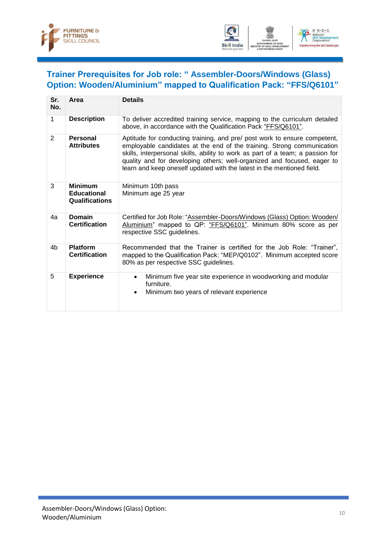



## <span id="page-12-0"></span>**Trainer Prerequisites for Job role: " Assembler-Doors/Windows (Glass) Option: Wooden/Aluminium" mapped to Qualification Pack: "FFS/Q6101"**

| Sr.<br>No.   | Area                                                          | <b>Details</b>                                                                                                                                                                                                                                                                                                                                                                             |
|--------------|---------------------------------------------------------------|--------------------------------------------------------------------------------------------------------------------------------------------------------------------------------------------------------------------------------------------------------------------------------------------------------------------------------------------------------------------------------------------|
| 1            | <b>Description</b>                                            | To deliver accredited training service, mapping to the curriculum detailed<br>above, in accordance with the Qualification Pack "FFS/Q6101".                                                                                                                                                                                                                                                |
| $\mathbf{2}$ | Personal<br><b>Attributes</b>                                 | Aptitude for conducting training, and pre/ post work to ensure competent,<br>employable candidates at the end of the training. Strong communication<br>skills, interpersonal skills, ability to work as part of a team; a passion for<br>quality and for developing others; well-organized and focused, eager to<br>learn and keep oneself updated with the latest in the mentioned field. |
| 3            | <b>Minimum</b><br><b>Educational</b><br><b>Qualifications</b> | Minimum 10th pass<br>Minimum age 25 year                                                                                                                                                                                                                                                                                                                                                   |
| 4a           | Domain<br><b>Certification</b>                                | Certified for Job Role: "Assembler-Doors/Windows (Glass) Option: Wooden/<br>Aluminium" mapped to QP: "FFS/Q6101". Minimum 80% score as per<br>respective SSC guidelines.                                                                                                                                                                                                                   |
| 4b           | <b>Platform</b><br><b>Certification</b>                       | Recommended that the Trainer is certified for the Job Role: "Trainer",<br>mapped to the Qualification Pack: "MEP/Q0102". Minimum accepted score<br>80% as per respective SSC guidelines.                                                                                                                                                                                                   |
| 5            | <b>Experience</b>                                             | Minimum five year site experience in woodworking and modular<br>$\bullet$<br>furniture.<br>Minimum two years of relevant experience<br>$\bullet$                                                                                                                                                                                                                                           |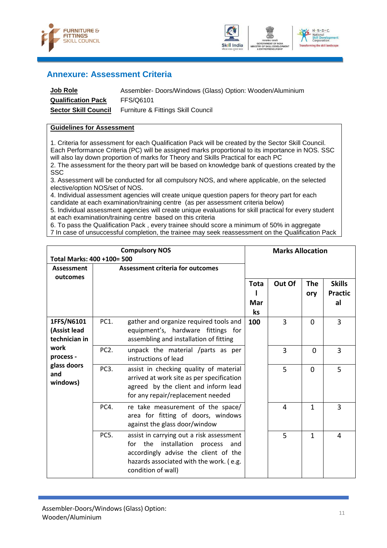



### <span id="page-13-0"></span>**Annexure: Assessment Criteria**

| <b>Job Role</b>             | Assembler- Doors/Windows (Glass) Option: Wooden/Aluminium |
|-----------------------------|-----------------------------------------------------------|
| <b>Qualification Pack</b>   | FFS/Q6101                                                 |
| <b>Sector Skill Council</b> | Furniture & Fittings Skill Council                        |

#### **Guidelines for Assessment**

1. Criteria for assessment for each Qualification Pack will be created by the Sector Skill Council. Each Performance Criteria (PC) will be assigned marks proportional to its importance in NOS. SSC will also lay down proportion of marks for Theory and Skills Practical for each PC

2. The assessment for the theory part will be based on knowledge bank of questions created by the SSC

3. Assessment will be conducted for all compulsory NOS, and where applicable, on the selected elective/option NOS/set of NOS.

4. Individual assessment agencies will create unique question papers for theory part for each candidate at each examination/training centre (as per assessment criteria below)

5. Individual assessment agencies will create unique evaluations for skill practical for every student at each examination/training centre based on this criteria

6. To pass the Qualification Pack , every trainee should score a minimum of 50% in aggregate

7 In case of unsuccessful completion, the trainee may seek reassessment on the Qualification Pack

| Total Marks: 400 +100= 500                                                                         |                   | <b>Compulsory NOS</b>                                                                                                                                                                       |                   | <b>Marks Allocation</b> |                   |                                       |
|----------------------------------------------------------------------------------------------------|-------------------|---------------------------------------------------------------------------------------------------------------------------------------------------------------------------------------------|-------------------|-------------------------|-------------------|---------------------------------------|
| Assessment                                                                                         |                   | <b>Assessment criteria for outcomes</b>                                                                                                                                                     |                   |                         |                   |                                       |
| outcomes                                                                                           |                   |                                                                                                                                                                                             | Tota<br>Mar<br>ks | Out Of                  | <b>The</b><br>ory | <b>Skills</b><br><b>Practic</b><br>al |
| 1FFS/N6101<br>(Assist lead<br>technician in<br>work<br>process -<br>glass doors<br>and<br>windows) | PC1.              | gather and organize required tools and<br>equipment's, hardware fittings for<br>assembling and installation of fitting                                                                      | 100               | 3                       | $\Omega$          | 3                                     |
|                                                                                                    | PC <sub>2</sub> . | unpack the material /parts as per<br>instructions of lead                                                                                                                                   |                   | 3                       | $\Omega$          | 3                                     |
|                                                                                                    | PC3.              | assist in checking quality of material<br>arrived at work site as per specification<br>agreed by the client and inform lead<br>for any repair/replacement needed                            |                   | 5                       | $\Omega$          | 5                                     |
|                                                                                                    | PC4.              | re take measurement of the space/<br>area for fitting of doors, windows<br>against the glass door/window                                                                                    |                   | 4                       | 1                 | 3                                     |
|                                                                                                    | PC5.              | assist in carrying out a risk assessment<br>for the<br>installation<br>process and<br>accordingly advise the client of the<br>hazards associated with the work. (e.g.<br>condition of wall) |                   | 5                       | 1                 | 4                                     |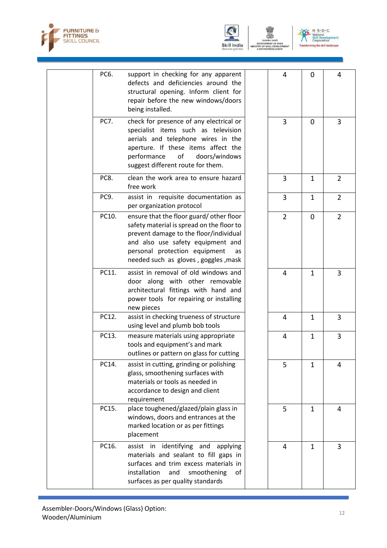



N - S - D - C<br>' National<br>Skill Development<br>Corporation  $U$ ing the skill landscape

|  | PC6.        | support in checking for any apparent<br>defects and deficiencies around the<br>structural opening. Inform client for<br>repair before the new windows/doors<br>being installed.                                                                    | 4              | 0              | 4              |
|--|-------------|----------------------------------------------------------------------------------------------------------------------------------------------------------------------------------------------------------------------------------------------------|----------------|----------------|----------------|
|  | <b>PC7.</b> | check for presence of any electrical or<br>specialist items such as television<br>aerials and telephone wires in the<br>aperture. If these items affect the<br>performance<br>doors/windows<br>of<br>suggest different route for them.             | 3              | $\overline{0}$ | 3              |
|  | PC8.        | clean the work area to ensure hazard<br>free work                                                                                                                                                                                                  | $\overline{3}$ | $\mathbf{1}$   | $\overline{2}$ |
|  | PC9.        | assist in requisite documentation as<br>per organization protocol                                                                                                                                                                                  | 3              | $\mathbf{1}$   | $\overline{2}$ |
|  | PC10.       | ensure that the floor guard/other floor<br>safety material is spread on the floor to<br>prevent damage to the floor/individual<br>and also use safety equipment and<br>personal protection equipment<br>as<br>needed such as gloves, goggles, mask | $\overline{2}$ | $\mathbf 0$    | $\overline{2}$ |
|  | PC11.       | assist in removal of old windows and<br>door along with other removable<br>architectural fittings with hand and<br>power tools for repairing or installing<br>new pieces                                                                           | 4              | 1              | 3              |
|  | PC12.       | assist in checking trueness of structure<br>using level and plumb bob tools                                                                                                                                                                        | 4              | 1              | 3              |
|  | PC13.       | measure materials using appropriate<br>tools and equipment's and mark<br>outlines or pattern on glass for cutting                                                                                                                                  | 4              | $\mathbf{1}$   | 3              |
|  | PC14.       | assist in cutting, grinding or polishing<br>glass, smoothening surfaces with<br>materials or tools as needed in<br>accordance to design and client<br>requirement                                                                                  | 5              | $\mathbf{1}$   | 4              |
|  | PC15.       | place toughened/glazed/plain glass in<br>windows, doors and entrances at the<br>marked location or as per fittings<br>placement                                                                                                                    | 5              | $\mathbf{1}$   | 4              |
|  | PC16.       | assist in identifying and applying<br>materials and sealant to fill gaps in<br>surfaces and trim excess materials in<br>installation<br>and<br>smoothening<br>of<br>surfaces as per quality standards                                              | 4              | $\mathbf{1}$   | 3              |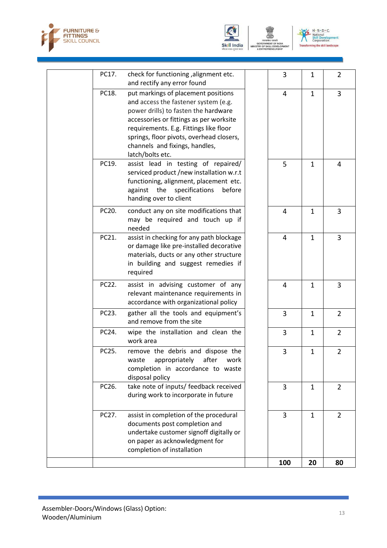





|       |                                                                                                                                                                                                                                                                                                            | 100            | 20           | 80             |
|-------|------------------------------------------------------------------------------------------------------------------------------------------------------------------------------------------------------------------------------------------------------------------------------------------------------------|----------------|--------------|----------------|
| PC27. | assist in completion of the procedural<br>documents post completion and<br>undertake customer signoff digitally or<br>on paper as acknowledgment for<br>completion of installation                                                                                                                         | 3              | $\mathbf{1}$ | $\overline{2}$ |
| PC26. | take note of inputs/ feedback received<br>during work to incorporate in future                                                                                                                                                                                                                             | 3              | $\mathbf{1}$ | $\overline{2}$ |
| PC25. | remove the debris and dispose the<br>appropriately<br>after<br>waste<br>work<br>completion in accordance to waste<br>disposal policy                                                                                                                                                                       | 3              | $\mathbf{1}$ | $\overline{2}$ |
| PC24. | wipe the installation and clean the<br>work area                                                                                                                                                                                                                                                           | 3              | $\mathbf{1}$ | $\overline{2}$ |
| PC23. | gather all the tools and equipment's<br>and remove from the site                                                                                                                                                                                                                                           | 3              | $\mathbf{1}$ | $\overline{2}$ |
| PC22. | assist in advising customer of any<br>relevant maintenance requirements in<br>accordance with organizational policy                                                                                                                                                                                        | 4              | $\mathbf{1}$ | 3              |
| PC21. | assist in checking for any path blockage<br>or damage like pre-installed decorative<br>materials, ducts or any other structure<br>in building and suggest remedies if<br>required                                                                                                                          | 4              | $\mathbf{1}$ | 3              |
| PC20. | conduct any on site modifications that<br>may be required and touch up if<br>needed                                                                                                                                                                                                                        | $\overline{4}$ | $\mathbf{1}$ | 3              |
| PC19. | assist lead in testing of repaired/<br>serviced product /new installation w.r.t<br>functioning, alignment, placement etc.<br>the<br>against<br>specifications<br>before<br>handing over to client                                                                                                          | 5              | $\mathbf{1}$ | 4              |
| PC18. | put markings of placement positions<br>and access the fastener system (e.g.<br>power drills) to fasten the hardware<br>accessories or fittings as per worksite<br>requirements. E.g. Fittings like floor<br>springs, floor pivots, overhead closers,<br>channels and fixings, handles,<br>latch/bolts etc. | 4              | $\mathbf{1}$ | 3              |
| PC17. | check for functioning , alignment etc.<br>and rectify any error found                                                                                                                                                                                                                                      | 3              | $\mathbf{1}$ | $\overline{2}$ |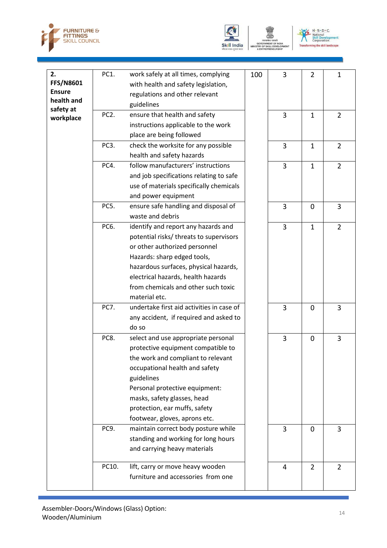





| 2.<br><b>FFS/N8601</b><br><b>Ensure</b><br>health and<br>safety at | PC1.              | work safely at all times, complying<br>with health and safety legislation,<br>regulations and other relevant<br>guidelines                                                                                                                                                                         | 100 | 3              | 2              | 1              |
|--------------------------------------------------------------------|-------------------|----------------------------------------------------------------------------------------------------------------------------------------------------------------------------------------------------------------------------------------------------------------------------------------------------|-----|----------------|----------------|----------------|
| workplace                                                          | PC <sub>2</sub> . | ensure that health and safety<br>instructions applicable to the work<br>place are being followed                                                                                                                                                                                                   |     | 3              | $\mathbf{1}$   | $\overline{2}$ |
|                                                                    | PC3.              | check the worksite for any possible<br>health and safety hazards                                                                                                                                                                                                                                   |     | $\overline{3}$ | $\mathbf{1}$   | $\overline{2}$ |
|                                                                    | PC4.              | follow manufacturers' instructions<br>and job specifications relating to safe<br>use of materials specifically chemicals<br>and power equipment                                                                                                                                                    |     | 3              | $\mathbf{1}$   | $\overline{2}$ |
|                                                                    | PC5.              | ensure safe handling and disposal of<br>waste and debris                                                                                                                                                                                                                                           |     | 3              | $\overline{0}$ | 3              |
|                                                                    | PC6.              | identify and report any hazards and<br>potential risks/ threats to supervisors<br>or other authorized personnel<br>Hazards: sharp edged tools,<br>hazardous surfaces, physical hazards,<br>electrical hazards, health hazards<br>from chemicals and other such toxic<br>material etc.              |     | 3              | $\mathbf{1}$   | $\overline{2}$ |
|                                                                    | <b>PC7.</b>       | undertake first aid activities in case of<br>any accident, if required and asked to<br>do so                                                                                                                                                                                                       |     | $\overline{3}$ | $\overline{0}$ | $\overline{3}$ |
|                                                                    | PC8.              | select and use appropriate personal<br>protective equipment compatible to<br>the work and compliant to relevant<br>occupational health and safety<br>guidelines<br>Personal protective equipment:<br>masks, safety glasses, head<br>protection, ear muffs, safety<br>footwear, gloves, aprons etc. |     | 3              | $\overline{0}$ | 3              |
|                                                                    | PC9.              | maintain correct body posture while<br>standing and working for long hours<br>and carrying heavy materials                                                                                                                                                                                         |     | $\overline{3}$ | $\overline{0}$ | 3              |
|                                                                    | PC10.             | lift, carry or move heavy wooden<br>furniture and accessories from one                                                                                                                                                                                                                             |     | 4              | $\overline{2}$ | $\overline{2}$ |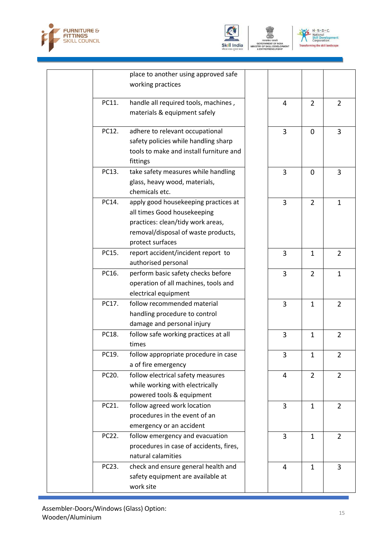





|       | place to another using approved safe<br>working practices                                                                                                           |                |                |   |
|-------|---------------------------------------------------------------------------------------------------------------------------------------------------------------------|----------------|----------------|---|
| PC11. | handle all required tools, machines,<br>materials & equipment safely                                                                                                | 4              | $\overline{2}$ | 2 |
| PC12. | adhere to relevant occupational<br>safety policies while handling sharp<br>tools to make and install furniture and<br>fittings                                      | 3              | $\mathbf{0}$   | 3 |
| PC13. | take safety measures while handling<br>glass, heavy wood, materials,<br>chemicals etc.                                                                              | 3              | $\mathbf{0}$   | 3 |
| PC14. | apply good housekeeping practices at<br>all times Good housekeeping<br>practices: clean/tidy work areas,<br>removal/disposal of waste products,<br>protect surfaces | 3              | $\overline{2}$ | 1 |
| PC15. | report accident/incident report to<br>authorised personal                                                                                                           | 3              | $\mathbf{1}$   | 2 |
| PC16. | perform basic safety checks before<br>operation of all machines, tools and<br>electrical equipment                                                                  | 3              | $\overline{2}$ | 1 |
| PC17. | follow recommended material<br>handling procedure to control<br>damage and personal injury                                                                          | 3              | $\mathbf{1}$   | 2 |
| PC18. | follow safe working practices at all<br>times                                                                                                                       | 3              | $\mathbf{1}$   | 2 |
| PC19. | follow appropriate procedure in case<br>a of fire emergency                                                                                                         | 3              | $\mathbf{1}$   | 2 |
| PC20. | follow electrical safety measures<br>while working with electrically<br>powered tools & equipment                                                                   | 4              | $\overline{2}$ | 2 |
| PC21. | follow agreed work location<br>procedures in the event of an<br>emergency or an accident                                                                            | 3              | $\mathbf{1}$   | 2 |
| PC22. | follow emergency and evacuation<br>procedures in case of accidents, fires,<br>natural calamities                                                                    | 3              | $\mathbf{1}$   | 2 |
| PC23. | check and ensure general health and<br>safety equipment are available at<br>work site                                                                               | $\overline{4}$ | $\mathbf{1}$   | 3 |
|       |                                                                                                                                                                     |                |                |   |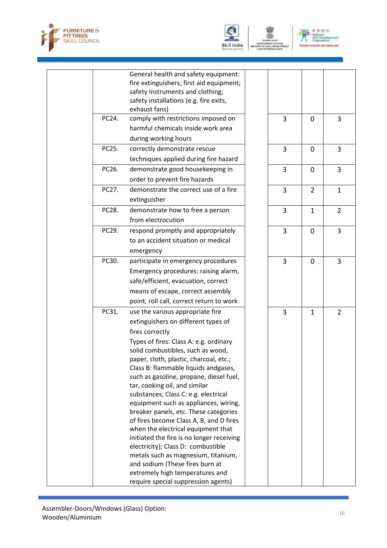



OF SKILL

 $N \cdot 5 \cdot D \cdot C$ <br>
National<br>
Skill Development<br>
Corporation  $\mathcal{V}$ ning the skill landscape

|       | General health and safety equipment:                                             |                |                |                |
|-------|----------------------------------------------------------------------------------|----------------|----------------|----------------|
|       | fire extinguishers; first aid equipment;                                         |                |                |                |
|       | safety instruments and clothing;                                                 |                |                |                |
|       | safety installations (e.g. fire exits,<br>exhaust fans)                          |                |                |                |
| PC24. | comply with restrictions imposed on                                              | 3              | $\mathbf 0$    | 3              |
|       | harmful chemicals inside work area                                               |                |                |                |
|       | during working hours                                                             |                |                |                |
| PC25. | correctly demonstrate rescue                                                     | 3              | $\mathbf 0$    | 3              |
|       | techniques applied during fire hazard                                            |                |                |                |
| PC26. | demonstrate good housekeeping in                                                 | 3              | $\mathbf 0$    | 3              |
|       | order to prevent fire hazards                                                    |                |                |                |
| PC27. | demonstrate the correct use of a fire                                            | 3              | $\overline{2}$ | $\mathbf{1}$   |
|       | extinguisher                                                                     |                |                |                |
| PC28. | demonstrate how to free a person                                                 | 3              | $\mathbf{1}$   | $\overline{2}$ |
|       | from electrocution                                                               |                |                |                |
| PC29. | respond promptly and appropriately                                               | $\overline{3}$ | $\mathbf 0$    | 3              |
|       | to an accident situation or medical                                              |                |                |                |
|       | emergency                                                                        |                |                |                |
| PC30. | participate in emergency procedures                                              | 3              | $\mathbf 0$    | 3              |
|       | Emergency procedures: raising alarm,                                             |                |                |                |
|       | safe/efficient, evacuation, correct                                              |                |                |                |
|       | means of escape, correct assembly                                                |                |                |                |
|       | point, roll call, correct return to work                                         |                |                |                |
| PC31. | use the various appropriate fire                                                 | 3              | $\mathbf{1}$   | $\overline{2}$ |
|       | extinguishers on different types of                                              |                |                |                |
|       | fires correctly                                                                  |                |                |                |
|       | Types of fires: Class A: e.g. ordinary                                           |                |                |                |
|       | solid combustibles, such as wood,                                                |                |                |                |
|       | paper, cloth, plastic, charcoal, etc.;                                           |                |                |                |
|       | Class B: flammable liquids andgases,                                             |                |                |                |
|       | such as gasoline, propane, diesel fuel,                                          |                |                |                |
|       | tar, cooking oil, and similar                                                    |                |                |                |
|       | substances; Class C: e.g. electrical                                             |                |                |                |
|       | equipment such as appliances, wiring,                                            |                |                |                |
|       | breaker panels, etc. These categories<br>of fires become Class A, B, and D fires |                |                |                |
|       | when the electrical equipment that                                               |                |                |                |
|       | initiated the fire is no longer receiving                                        |                |                |                |
|       | electricity); Class D: combustible                                               |                |                |                |
|       | metals such as magnesium, titanium,                                              |                |                |                |
|       | and sodium (These fires burn at                                                  |                |                |                |
|       | extremely high temperatures and                                                  |                |                |                |
|       | require special suppression agents)                                              |                |                |                |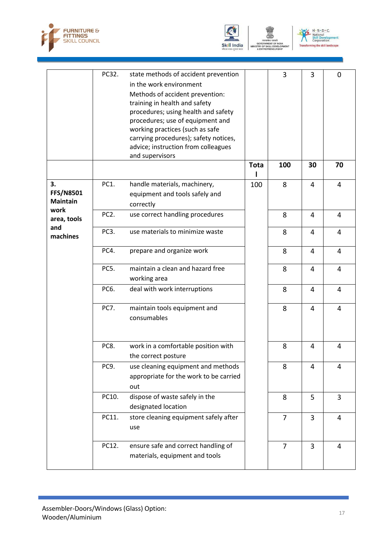





|                  | PC32.             | state methods of accident prevention   |             | 3              | 3  | 0  |
|------------------|-------------------|----------------------------------------|-------------|----------------|----|----|
|                  |                   | in the work environment                |             |                |    |    |
|                  |                   |                                        |             |                |    |    |
|                  |                   | Methods of accident prevention:        |             |                |    |    |
|                  |                   | training in health and safety          |             |                |    |    |
|                  |                   | procedures; using health and safety    |             |                |    |    |
|                  |                   | procedures; use of equipment and       |             |                |    |    |
|                  |                   | working practices (such as safe        |             |                |    |    |
|                  |                   | carrying procedures); safety notices,  |             |                |    |    |
|                  |                   | advice; instruction from colleagues    |             |                |    |    |
|                  |                   | and supervisors                        |             |                |    |    |
|                  |                   |                                        | <b>Tota</b> | 100            | 30 | 70 |
| 3.               | PC1.              | handle materials, machinery,           | 100         | 8              | 4  | 4  |
| <b>FFS/N8501</b> |                   | equipment and tools safely and         |             |                |    |    |
| <b>Maintain</b>  |                   | correctly                              |             |                |    |    |
| work             | PC <sub>2</sub> . | use correct handling procedures        |             | 8              | 4  | 4  |
| area, tools      |                   |                                        |             |                |    |    |
| and              | PC <sub>3</sub> . | use materials to minimize waste        |             | 8              | 4  | 4  |
| machines         |                   |                                        |             |                |    |    |
|                  | PC4.              | prepare and organize work              |             | 8              | 4  | 4  |
|                  |                   |                                        |             |                |    |    |
|                  | PC5.              | maintain a clean and hazard free       |             | 8              | 4  | 4  |
|                  |                   | working area                           |             |                |    |    |
|                  | PC6.              | deal with work interruptions           |             | 8              | 4  | 4  |
|                  |                   |                                        |             |                |    |    |
|                  | <b>PC7.</b>       | maintain tools equipment and           |             | 8              | 4  | 4  |
|                  |                   | consumables                            |             |                |    |    |
|                  |                   |                                        |             |                |    |    |
|                  |                   |                                        |             |                |    |    |
|                  | PC8.              | work in a comfortable position with    |             | 8              | 4  | 4  |
|                  |                   | the correct posture                    |             |                |    |    |
|                  | PC9.              | use cleaning equipment and methods     |             | 8              | 4  | 4  |
|                  |                   | appropriate for the work to be carried |             |                |    |    |
|                  |                   | out                                    |             |                |    |    |
|                  | PC10.             | dispose of waste safely in the         |             | 8              | 5  | 3  |
|                  |                   |                                        |             |                |    |    |
|                  |                   | designated location                    |             |                |    |    |
|                  | PC11.             | store cleaning equipment safely after  |             | $\overline{7}$ | 3  | 4  |
|                  |                   | use                                    |             |                |    |    |
|                  | PC12.             | ensure safe and correct handling of    |             | $\overline{7}$ | 3  | 4  |
|                  |                   | materials, equipment and tools         |             |                |    |    |
|                  |                   |                                        |             |                |    |    |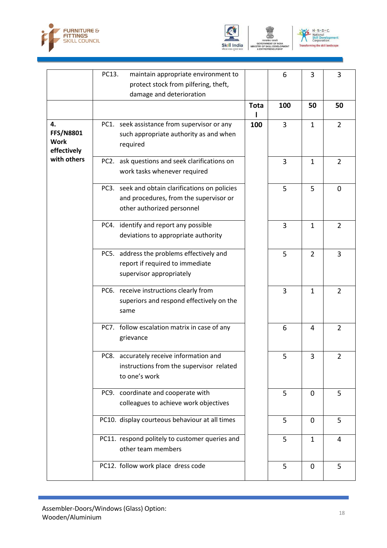





|                                                      | PC13.<br>maintain appropriate environment to<br>protect stock from pilfering, theft,<br>damage and deterioration        |             | 6              | 3              | 3              |
|------------------------------------------------------|-------------------------------------------------------------------------------------------------------------------------|-------------|----------------|----------------|----------------|
|                                                      |                                                                                                                         | <b>Tota</b> | 100            | 50             | 50             |
| 4.<br><b>FFS/N8801</b><br><b>Work</b><br>effectively | PC1. seek assistance from supervisor or any<br>such appropriate authority as and when<br>required                       | 100         | 3              | $\mathbf{1}$   | $\overline{2}$ |
| with others                                          | PC2. ask questions and seek clarifications on<br>work tasks whenever required                                           |             | 3              | 1              | $\overline{2}$ |
|                                                      | PC3. seek and obtain clarifications on policies<br>and procedures, from the supervisor or<br>other authorized personnel |             | 5              | 5              | $\mathbf 0$    |
|                                                      | PC4. identify and report any possible<br>deviations to appropriate authority                                            |             | $\overline{3}$ | $\mathbf{1}$   | $\overline{2}$ |
|                                                      | PC5. address the problems effectively and<br>report if required to immediate<br>supervisor appropriately                |             | 5              | $\overline{2}$ | 3              |
|                                                      | PC6. receive instructions clearly from<br>superiors and respond effectively on the<br>same                              |             | 3              | $\mathbf{1}$   | $\overline{2}$ |
|                                                      | PC7. follow escalation matrix in case of any<br>grievance                                                               |             | 6              | $\overline{4}$ | $\overline{2}$ |
|                                                      | PC8. accurately receive information and<br>instructions from the supervisor related<br>to one's work                    |             | 5              | 3              | $\overline{2}$ |
|                                                      | PC9. coordinate and cooperate with<br>colleagues to achieve work objectives                                             |             | 5              | $\mathbf 0$    | 5              |
|                                                      | PC10. display courteous behaviour at all times                                                                          |             | 5              | $\mathbf 0$    | 5              |
|                                                      | PC11. respond politely to customer queries and<br>other team members                                                    |             | 5              | $\mathbf{1}$   | $\overline{4}$ |
|                                                      | PC12. follow work place dress code                                                                                      |             | 5              | $\mathbf 0$    | 5              |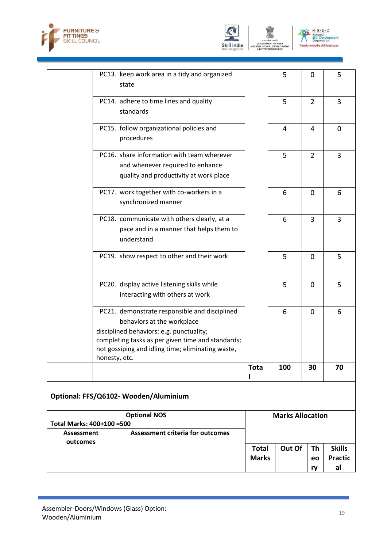





| <b>Assessment</b>         |               | <b>Assessment criteria for outcomes</b>                                                              |                         |     |                |             |
|---------------------------|---------------|------------------------------------------------------------------------------------------------------|-------------------------|-----|----------------|-------------|
| Total Marks: 400+100 =500 |               |                                                                                                      | <b>Marks Allocation</b> |     |                |             |
|                           |               | Optional: FFS/Q6102-Wooden/Aluminium<br><b>Optional NOS</b>                                          |                         |     |                |             |
|                           |               |                                                                                                      |                         |     |                |             |
|                           | honesty, etc. | not gossiping and idling time; eliminating waste,                                                    | Tota                    | 100 | 30             | 70          |
|                           |               | completing tasks as per given time and standards;                                                    |                         |     |                |             |
|                           |               | behaviors at the workplace<br>disciplined behaviors: e.g. punctuality;                               |                         |     |                |             |
|                           |               | PC21. demonstrate responsible and disciplined                                                        |                         | 6   | $\mathbf 0$    | 6           |
|                           |               | PC20. display active listening skills while<br>interacting with others at work                       |                         | 5   | 0              | 5           |
|                           |               | PC19. show respect to other and their work                                                           |                         | 5   | $\overline{0}$ | 5           |
|                           |               | PC18. communicate with others clearly, at a<br>pace and in a manner that helps them to<br>understand |                         | 6   | 3              | 3           |
|                           |               | PC17. work together with co-workers in a<br>synchronized manner                                      |                         | 6   | 0              | 6           |
|                           |               | and whenever required to enhance<br>quality and productivity at work place                           |                         |     |                |             |
|                           |               | PC16. share information with team wherever                                                           |                         | 5   | $\overline{2}$ | 3           |
|                           |               | PC15. follow organizational policies and<br>procedures                                               |                         | 4   | 4              | $\mathbf 0$ |
|                           |               | PC14. adhere to time lines and quality<br>standards                                                  |                         | 5   | $\overline{2}$ | 3           |
|                           |               | PC13. keep work area in a tidy and organized<br>state                                                |                         | 5   | 0              | 5           |

| outcomes |              |                   |    |                |
|----------|--------------|-------------------|----|----------------|
|          | <b>Total</b> | Out Of $\vert$ Th |    | <b>Skills</b>  |
|          | <b>Marks</b> |                   | eo | <b>Practic</b> |
|          |              |                   | rv | al             |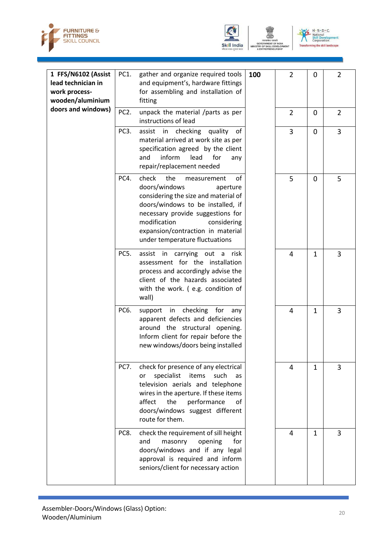





| 1 FFS/N6102 (Assist<br>lead technician in<br>work process-<br>wooden/aluminium | PC1.              | gather and organize required tools<br>and equipment's, hardware fittings<br>for assembling and installation of<br>fitting                                                                                                                                                              | 100 | $\overline{2}$ | 0              | 2              |
|--------------------------------------------------------------------------------|-------------------|----------------------------------------------------------------------------------------------------------------------------------------------------------------------------------------------------------------------------------------------------------------------------------------|-----|----------------|----------------|----------------|
| doors and windows)                                                             | PC <sub>2</sub> . | unpack the material /parts as per<br>instructions of lead                                                                                                                                                                                                                              |     | $\overline{2}$ | $\overline{0}$ | $\overline{2}$ |
|                                                                                | PC3.              | checking<br>quality<br>of<br>assist in<br>material arrived at work site as per<br>specification agreed by the client<br>inform<br>lead<br>and<br>for<br>any<br>repair/replacement needed                                                                                               |     | $\overline{3}$ | $\Omega$       | $\overline{3}$ |
|                                                                                | PC4.              | check<br>the<br>of<br>measurement<br>doors/windows<br>aperture<br>considering the size and material of<br>doors/windows to be installed, if<br>necessary provide suggestions for<br>modification<br>considering<br>expansion/contraction in material<br>under temperature fluctuations |     | 5              | $\mathbf 0$    | 5              |
|                                                                                | PC5.              | carrying out a<br>assist in<br>risk<br>assessment for the installation<br>process and accordingly advise the<br>client of the hazards associated<br>with the work. (e.g. condition of<br>wall)                                                                                         |     | 4              | $\mathbf{1}$   | 3              |
|                                                                                | PC6.              | support in checking for<br>any<br>apparent defects and deficiencies<br>around the structural opening.<br>Inform client for repair before the<br>new windows/doors being installed                                                                                                      |     | 4              | $\mathbf{1}$   | 3              |
|                                                                                | PC7.              | check for presence of any electrical<br>specialist<br>items<br>such<br>or<br>as<br>television aerials and telephone<br>wires in the aperture. If these items<br>the<br>performance<br>affect<br>of<br>doors/windows suggest different<br>route for them.                               |     | 4              | 1              | 3              |
|                                                                                | PC8.              | check the requirement of sill height<br>masonry<br>opening<br>and<br>for<br>doors/windows and if any legal<br>approval is required and inform<br>seniors/client for necessary action                                                                                                   |     | 4              | $\mathbf{1}$   | 3              |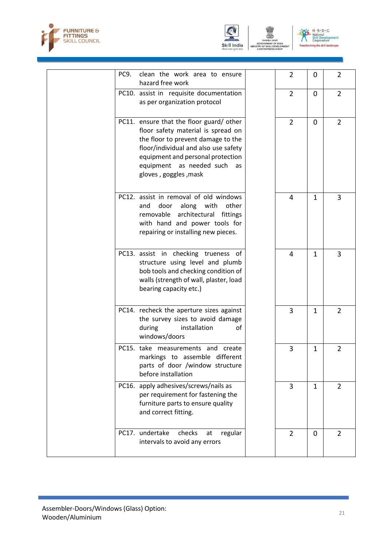





| PC9. | clean the work area to ensure<br>hazard free work                                                                                                                                                                                                        | 2              | 0            | 2              |
|------|----------------------------------------------------------------------------------------------------------------------------------------------------------------------------------------------------------------------------------------------------------|----------------|--------------|----------------|
|      | PC10. assist in requisite documentation<br>as per organization protocol                                                                                                                                                                                  | $\overline{2}$ | 0            | $\overline{2}$ |
|      | PC11. ensure that the floor guard/other<br>floor safety material is spread on<br>the floor to prevent damage to the<br>floor/individual and also use safety<br>equipment and personal protection<br>equipment as needed such as<br>gloves, goggles, mask | $\overline{2}$ | 0            | $\overline{2}$ |
|      | PC12. assist in removal of old windows<br>door along with<br>other<br>and<br>removable architectural fittings<br>with hand and power tools for<br>repairing or installing new pieces.                                                                    | 4              | 1            | 3              |
|      | PC13. assist in checking trueness of<br>structure using level and plumb<br>bob tools and checking condition of<br>walls (strength of wall, plaster, load<br>bearing capacity etc.)                                                                       | 4              | 1            | 3              |
|      | PC14. recheck the aperture sizes against<br>the survey sizes to avoid damage<br>during<br>installation<br>оt<br>windows/doors                                                                                                                            | 3              | 1            | $\overline{2}$ |
|      | PC15. take measurements and create<br>markings to assemble different<br>parts of door /window structure<br>before installation                                                                                                                           | 3              | 1            | $\overline{2}$ |
|      | PC16. apply adhesives/screws/nails as<br>per requirement for fastening the<br>furniture parts to ensure quality<br>and correct fitting.                                                                                                                  | 3              | $\mathbf{1}$ | $\overline{2}$ |
|      | PC17. undertake<br>checks<br>regular<br>at<br>intervals to avoid any errors                                                                                                                                                                              | 2              | 0            | 2              |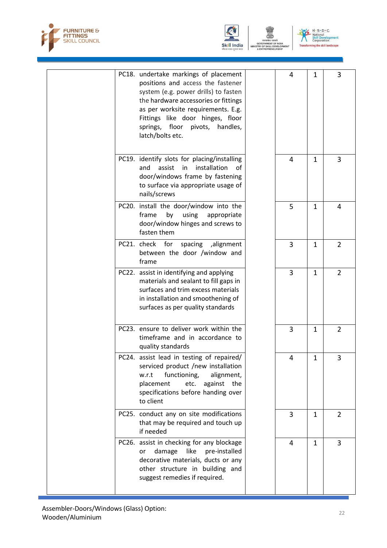





|  | PC18. undertake markings of placement<br>positions and access the fastener<br>system (e.g. power drills) to fasten<br>the hardware accessories or fittings<br>as per worksite requirements. E.g.<br>Fittings like door hinges, floor<br>springs, floor pivots, handles,<br>latch/bolts etc. | 4              | 1            | 3              |
|--|---------------------------------------------------------------------------------------------------------------------------------------------------------------------------------------------------------------------------------------------------------------------------------------------|----------------|--------------|----------------|
|  | PC19. identify slots for placing/installing<br>installation<br>and<br>assist<br>in<br>of<br>door/windows frame by fastening<br>to surface via appropriate usage of<br>nails/screws                                                                                                          | 4              | 1            | 3              |
|  | PC20. install the door/window into the<br>using<br>frame<br>by<br>appropriate<br>door/window hinges and screws to<br>fasten them                                                                                                                                                            | 5              | $\mathbf{1}$ | 4              |
|  | PC21. check for spacing ,alignment<br>between the door /window and<br>frame                                                                                                                                                                                                                 | 3              | $\mathbf{1}$ | 2              |
|  | PC22. assist in identifying and applying<br>materials and sealant to fill gaps in<br>surfaces and trim excess materials<br>in installation and smoothening of<br>surfaces as per quality standards                                                                                          | $\overline{3}$ | $\mathbf{1}$ | $\overline{2}$ |
|  | PC23. ensure to deliver work within the<br>timeframe and in accordance to<br>quality standards                                                                                                                                                                                              | 3              | $\mathbf{1}$ | $\overline{2}$ |
|  | PC24. assist lead in testing of repaired/<br>serviced product /new installation<br>functioning,<br>alignment,<br>w.r.t<br>placement<br>etc.<br>against<br>the<br>specifications before handing over<br>to client                                                                            | 4              | $\mathbf{1}$ | 3              |
|  | PC25. conduct any on site modifications<br>that may be required and touch up<br>if needed                                                                                                                                                                                                   | 3              | 1            | $\overline{2}$ |
|  | PC26. assist in checking for any blockage<br>damage<br>like<br>pre-installed<br>or<br>decorative materials, ducts or any<br>other structure in building and<br>suggest remedies if required.                                                                                                | 4              | $\mathbf{1}$ | 3              |